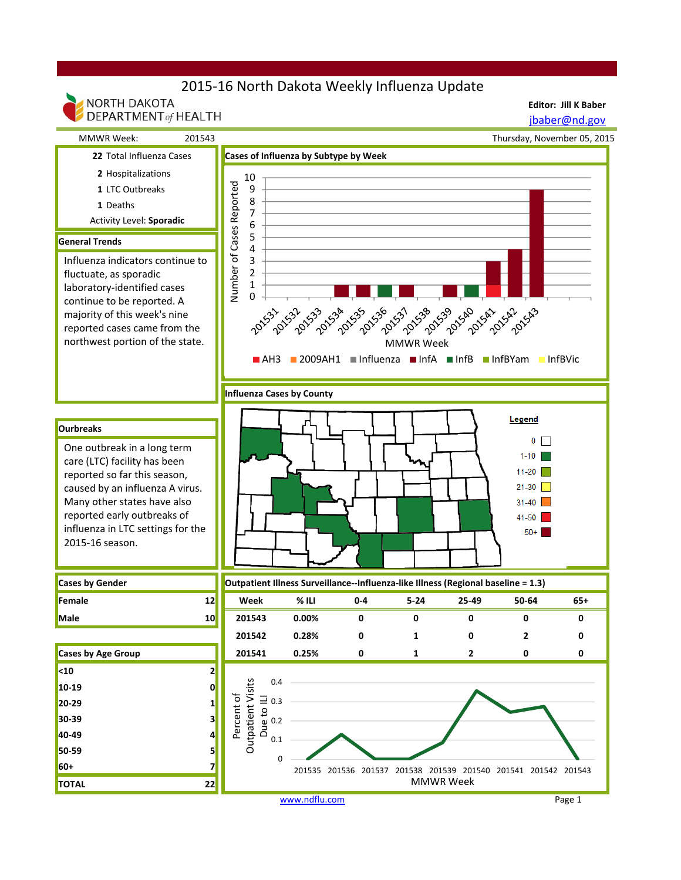## 2015-16 North Dakota Weekly Influenza Update

**Editor: Jill K Baber**